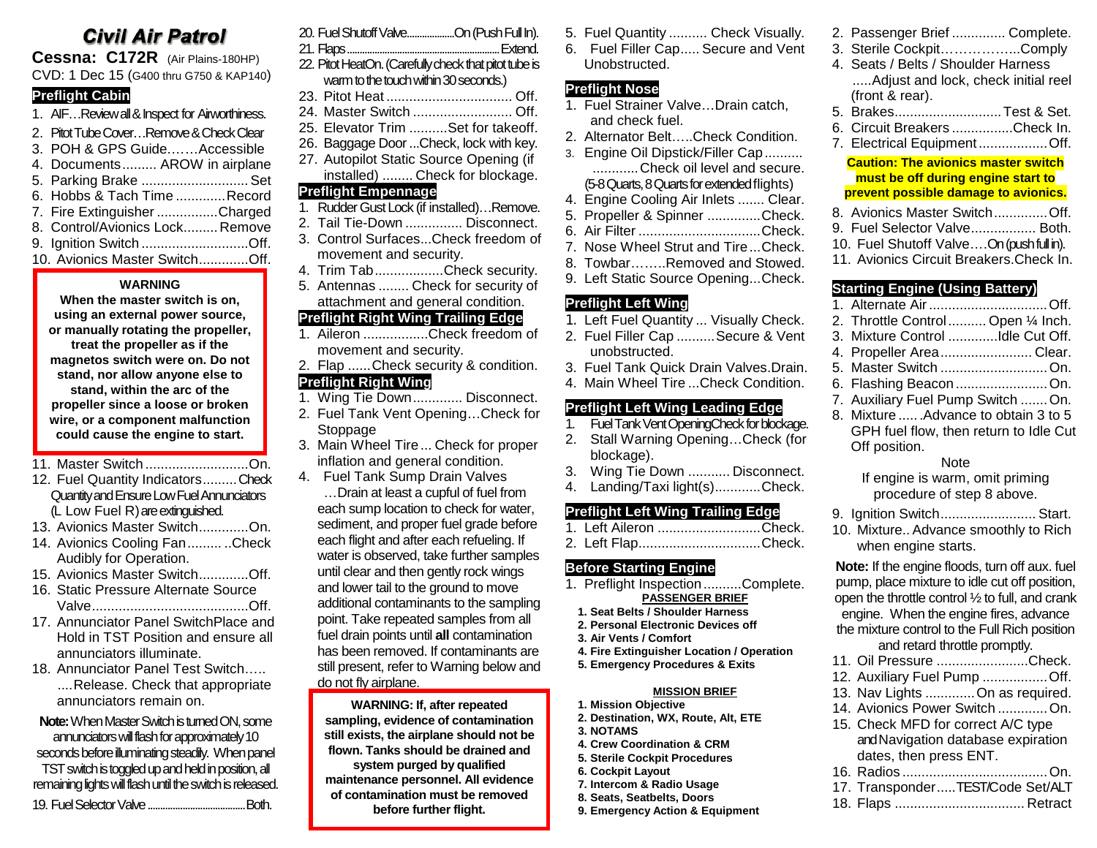# **Civil Air Patrol**

**Cessna: C172R** (Air Plains-180HP) CVD: 1 Dec 15 (G400 thru G750 & KAP140)

#### **Preflight Cabin**

- 1. AIF…Review all & Inspect for Airworthiness.
- 2. Pitot Tube Cover…Remove & Check Clear
- 3. POH & GPS Guide.……Accessible
- 4. Documents......... AROW in airplane
- 5. Parking Brake ............................Set 6. Hobbs & Tach Time .............Record 7. Fire Extinguisher ................Charged
- 8. Control/Avionics Lock.........Remove
- 9. Ignition Switch ............................Off.
- 10. Avionics Master Switch.............Off.

#### **WARNING**

**When the master switch is on, using an external power source, or manually rotating the propeller, treat the propeller as if the magnetos switch were on. Do not stand, nor allow anyone else to stand, within the arc of the propeller since a loose or broken wire, or a component malfunction could cause the engine to start.**

- 11. Master Switch ...........................On.
- 12. Fuel Quantity Indicators.........Check Quantity and Ensure Low Fuel Annunciators (L Low Fuel R) are extinguished.
- 13. Avionics Master Switch.............On.
- 14. Avionics Cooling Fan......... ..Check Audibly for Operation.
- 15. Avionics Master Switch.............Off.
- 16. Static Pressure Alternate Source Valve.........................................Off.
- 17. Annunciator Panel SwitchPlace and Hold in TST Position and ensure all annunciators illuminate.
- 18. Annunciator Panel Test Switch….. ....Release. Check that appropriate annunciators remain on.

**Note:** When Master Switch is turned ON, some annunciators will flash for approximately 10 seconds before illuminating steadily. When panel TST switch is toggled up and held in position, all remaining lights will flash until the switch is released.

19. Fuel Selector Valve.......................................Both.

| 20. Fuel Shutoff ValveOn (Push Full In).              |  |
|-------------------------------------------------------|--|
|                                                       |  |
| 22. Pitot HeatOn. (Carefully check that pitot tube is |  |
| warm to the touch within 30 seconds.)                 |  |

- 23. Pitot Heat ................................. Off.
- 24. Master Switch .......................... Off.
- 25. Elevator Trim ..........Set for takeoff.
- 26. Baggage Door...Check, lock with key.
- 27. Autopilot Static Source Opening (if
- installed) ........ Check for blockage.

# **Preflight Empennage**

- 1. Rudder Gust Lock (if installed)…Remove.
- 2. Tail Tie-Down ............... Disconnect.
- 3. Control Surfaces...Check freedom of movement and security.
- 4. Trim Tab..................Check security.
- 5. Antennas ........ Check for security of attachment and general condition.

## **Preflight Right Wing Trailing Edge**

- 1. Aileron .................Check freedom of movement and security.
- 2. Flap ......Check security & condition. **Preflight Right Wing**
- 1. Wing Tie Down............. Disconnect.
- 2. Fuel Tank Vent Opening…Check for Stoppage
- 3. Main Wheel Tire ... Check for proper inflation and general condition.
- 4. Fuel Tank Sump Drain Valves …Drain at least a cupful of fuel from
	- each sump location to check for water, sediment, and proper fuel grade before each flight and after each refueling. If water is observed, take further samples until clear and then gently rock wings and lower tail to the ground to move additional contaminants to the sampling point. Take repeated samples from all fuel drain points until **all** contamination has been removed. If contaminants are still present, refer to Warning below and do not fly airplane.

**WARNING: If, after repeated sampling, evidence of contamination still exists, the airplane should not be flown. Tanks should be drained and system purged by qualified maintenance personnel. All evidence of contamination must be removed before further flight.**

- 5. Fuel Quantity .......... Check Visually.
- 6. Fuel Filler Cap..... Secure and Vent Unobstructed.

# **Preflight Nose**

- 1. Fuel Strainer Valve…Drain catch, and check fuel.
- 2. Alternator Belt…..Check Condition.
- 3. Engine Oil Dipstick/Filler Cap.......... ............Check oil level and secure. (5-8 Quarts, 8 Quarts for extended flights)
- 4. Engine Cooling Air Inlets ....... Clear.
- 5. Propeller & Spinner ..............Check.
- 6. Air Filter ................................Check.
- 7. Nose Wheel Strut and Tire...Check.
- 8. Towbar……..Removed and Stowed.
- 9. Left Static Source Opening...Check.

## **Preflight Left Wing**

- 1. Left Fuel Quantity ... Visually Check.
- 2. Fuel Filler Cap ..........Secure & Vent
- unobstructed.
- 3. Fuel Tank Quick Drain Valves.Drain.
- 4. Main Wheel Tire ...Check Condition.

# **Preflight Left Wing Leading Edge**

- 1. Fuel Tank Vent OpeningCheck for blockage.
- 2. Stall Warning Opening…Check (for blockage).
- 3. Wing Tie Down ........... Disconnect.
- 4. Landing/Taxi light(s)............Check.

# **Preflight Left Wing Trailing Edge**

- 1. Left Aileron ...........................Check.
- 2. Left Flap................................Check.

## **Before Starting Engine**

- 1. Preflight Inspection..........Complete. **PASSENGER BRIEF**
	- **1. Seat Belts / Shoulder Harness**
	- **2. Personal Electronic Devices off**
	- **3. Air Vents / Comfort**
	- **4. Fire Extinguisher Location / Operation**
	- **5. Emergency Procedures & Exits**

#### **MISSION BRIEF**

- **1. Mission Objective**
- **2. Destination, WX, Route, Alt, ETE 3. NOTAMS**
- **4. Crew Coordination & CRM**
- **5. Sterile Cockpit Procedures**
- **6. Cockpit Layout**
- **7. Intercom & Radio Usage**
- **8. Seats, Seatbelts, Doors**
- **9. Emergency Action & Equipment**
- 2. Passenger Brief .............. Complete.
- 3. Sterile Cockpit……………...Comply
- 4. Seats / Belts / Shoulder Harness
- .....Adjust and lock, check initial reel (front & rear).
- 5. Brakes............................Test & Set.
- 6. Circuit Breakers ................Check In.
- 7. Electrical Equipment..................Off.

#### **Caution: The avionics master switch must be off during engine start to prevent possible damage to avionics.**

- 8. Avionics Master Switch..............Off.
- 9. Fuel Selector Valve................. Both.
- 10. Fuel Shutoff Valve….On (push full in).
- 11. Avionics Circuit Breakers.Check In.

2. Throttle Control.......... Open ¼ Inch. 3. Mixture Control .............Idle Cut Off. 4. Propeller Area........................ Clear. 5. Master Switch ............................On. 6. Flashing Beacon ........................On. 7. Auxiliary Fuel Pump Switch .......On. 8. Mixture ..... .Advance to obtain 3 to 5 GPH fuel flow, then return to Idle Cut

Note If engine is warm, omit priming procedure of step 8 above. 9. Ignition Switch......................... Start. 10. Mixture.. Advance smoothly to Rich

**Note:** If the engine floods, turn off aux. fuel pump, place mixture to idle cut off position, open the throttle control ½ to full, and crank engine. When the engine fires, advance the mixture control to the Full Rich position and retard throttle promptly. 11. Oil Pressure ........................Check. 12. Auxiliary Fuel Pump .................Off. 13. Nav Lights .............On as required. 14. Avionics Power Switch .............On. 15. Check MFD for correct A/C type and Navigation database expiration

#### **Starting Engine (Using Battery)** 1. Alternate Air...............................Off.

Off position.

when engine starts.

dates, then press ENT.

16. Radios ......................................On. 17. Transponder.....TEST/Code Set/ALT 18. Flaps .................................. Retract